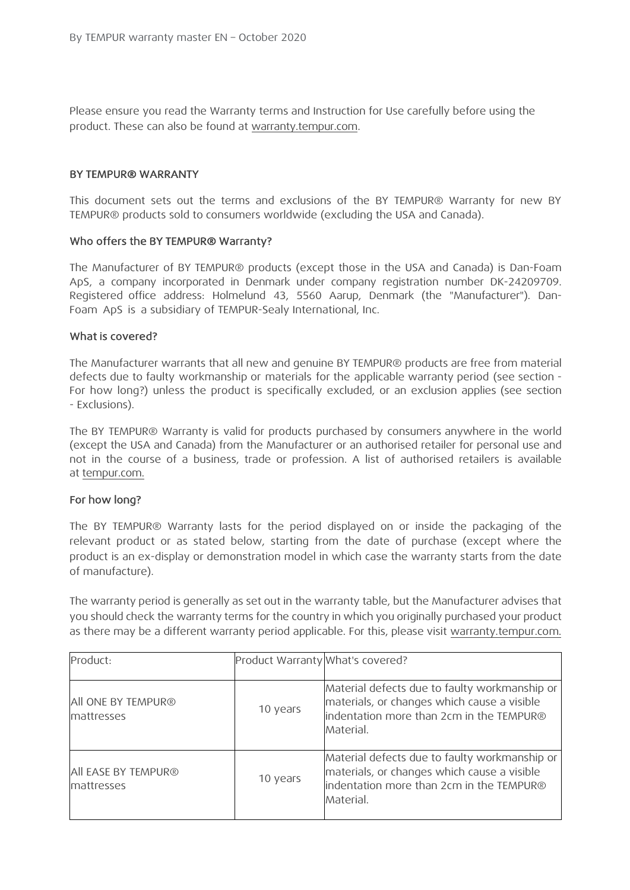Please ensure you read the Warranty terms and Instruction for Use carefully before using the product. These can also be found at warranty.tempur.com.

#### BY TEMPUR® WARRANTY

This document sets out the terms and exclusions of the BY TEMPUR® Warranty for new BY TEMPUR® products sold to consumers worldwide (excluding the USA and Canada).

#### Who offers the BY TEMPUR® Warranty?

The Manufacturer of BY TEMPUR® products (except those in the USA and Canada) is Dan-Foam ApS, a company incorporated in Denmark under company registration number DK-24209709. Registered office address: Holmelund 43, 5560 Aarup, Denmark (the "Manufacturer"). Dan-Foam ApS is a subsidiary of TEMPUR-Sealy International, Inc.

#### What is covered?

The Manufacturer warrants that all new and genuine BY TEMPUR® products are free from material defects due to faulty workmanship or materials for the applicable warranty period (see section - For how long?) unless the product is specifically excluded, or an exclusion applies (see section - Exclusions).

The BY TEMPUR® Warranty is valid for products purchased by consumers anywhere in the world (except the USA and Canada) from the Manufacturer or an authorised retailer for personal use and not in the course of a business, trade or profession. A list of authorised retailers is available at tempur.com.

#### For how long?

The BY TEMPUR® Warranty lasts for the period displayed on or inside the packaging of the relevant product or as stated below, starting from the date of purchase (except where the product is an ex-display or demonstration model in which case the warranty starts from the date of manufacture).

The warranty period is generally as set out in the warranty table, but the Manufacturer advises that you should check the warranty terms for the country in which you originally purchased your product as there may be a different warranty period applicable. For this, please visit warranty.tempur.com.

| Product:                          | Product Warranty What's covered? |                                                                                                                                                       |
|-----------------------------------|----------------------------------|-------------------------------------------------------------------------------------------------------------------------------------------------------|
| All ONE BY TEMPUR®<br>mattresses  | 10 years                         | Material defects due to faulty workmanship or<br>materials, or changes which cause a visible<br>indentation more than 2cm in the TEMPUR®              |
|                                   |                                  | Material.                                                                                                                                             |
| All EASE BY TEMPUR®<br>mattresses | 10 years                         | Material defects due to faulty workmanship or<br>materials, or changes which cause a visible<br>indentation more than 2cm in the TEMPUR®<br>Material. |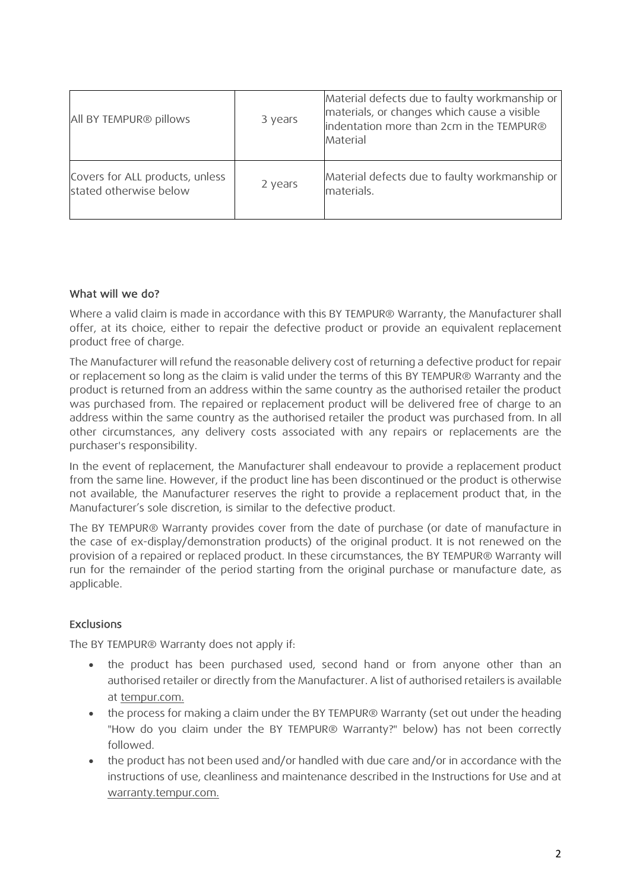| All BY TEMPUR® pillows                                    | 3 years | Material defects due to faulty workmanship or<br>materials, or changes which cause a visible<br>indentation more than 2cm in the TEMPUR®<br>Material |
|-----------------------------------------------------------|---------|------------------------------------------------------------------------------------------------------------------------------------------------------|
| Covers for ALL products, unless<br>stated otherwise below | 2 years | Material defects due to faulty workmanship or<br>materials.                                                                                          |

## What will we do?

Where a valid claim is made in accordance with this BY TEMPUR® Warranty, the Manufacturer shall offer, at its choice, either to repair the defective product or provide an equivalent replacement product free of charge.

The Manufacturer will refund the reasonable delivery cost of returning a defective product for repair or replacement so long as the claim is valid under the terms of this BY TEMPUR® Warranty and the product is returned from an address within the same country as the authorised retailer the product was purchased from. The repaired or replacement product will be delivered free of charge to an address within the same country as the authorised retailer the product was purchased from. In all other circumstances, any delivery costs associated with any repairs or replacements are the purchaser's responsibility.

In the event of replacement, the Manufacturer shall endeavour to provide a replacement product from the same line. However, if the product line has been discontinued or the product is otherwise not available, the Manufacturer reserves the right to provide a replacement product that, in the Manufacturer's sole discretion, is similar to the defective product.

The BY TEMPUR® Warranty provides cover from the date of purchase (or date of manufacture in the case of ex-display/demonstration products) of the original product. It is not renewed on the provision of a repaired or replaced product. In these circumstances, the BY TEMPUR® Warranty will run for the remainder of the period starting from the original purchase or manufacture date, as applicable.

## Exclusions

The BY TEMPUR® Warranty does not apply if:

- the product has been purchased used, second hand or from anyone other than an authorised retailer or directly from the Manufacturer. A list of authorised retailers is available at tempur.com.
- the process for making a claim under the BY TEMPUR® Warranty (set out under the heading "How do you claim under the BY TEMPUR® Warranty?" below) has not been correctly followed.
- the product has not been used and/or handled with due care and/or in accordance with the instructions of use, cleanliness and maintenance described in the Instructions for Use and at warranty.tempur.com.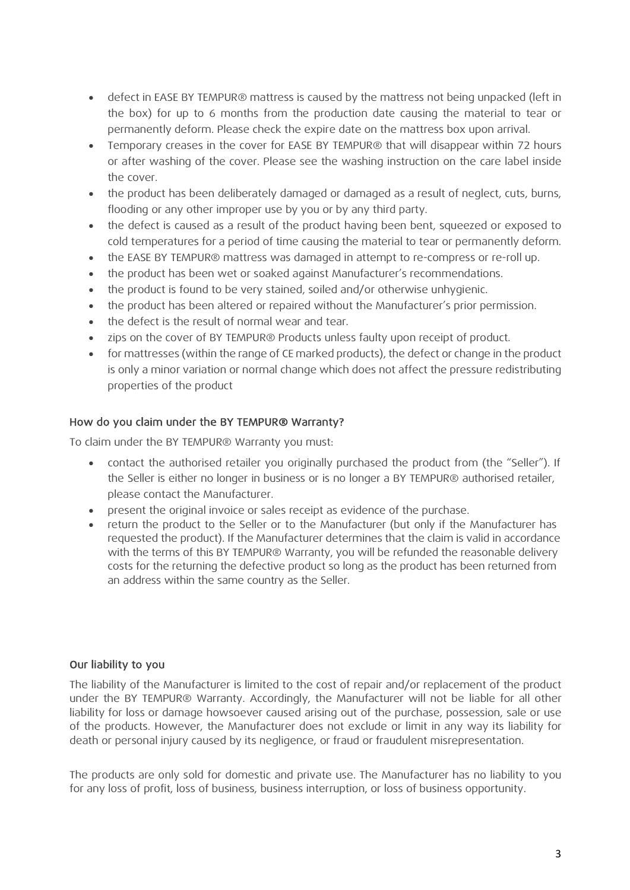- defect in EASE BY TEMPUR® mattress is caused by the mattress not being unpacked (left in the box) for up to 6 months from the production date causing the material to tear or permanently deform. Please check the expire date on the mattress box upon arrival.
- Temporary creases in the cover for EASE BY TEMPUR® that will disappear within 72 hours or after washing of the cover. Please see the washing instruction on the care label inside the cover.
- the product has been deliberately damaged or damaged as a result of neglect, cuts, burns, flooding or any other improper use by you or by any third party.
- the defect is caused as a result of the product having been bent, squeezed or exposed to cold temperatures for a period of time causing the material to tear or permanently deform.
- the EASE BY TEMPUR® mattress was damaged in attempt to re-compress or re-roll up.
- the product has been wet or soaked against Manufacturer's recommendations.
- the product is found to be very stained, soiled and/or otherwise unhygienic.
- the product has been altered or repaired without the Manufacturer's prior permission.
- the defect is the result of normal wear and tear.
- zips on the cover of BY TEMPUR® Products unless faulty upon receipt of product.
- for mattresses (within the range of CE marked products), the defect or change in the product is only a minor variation or normal change which does not affect the pressure redistributing properties of the product

## How do you claim under the BY TEMPUR® Warranty?

To claim under the BY TEMPUR® Warranty you must:

- contact the authorised retailer you originally purchased the product from (the "Seller"). If the Seller is either no longer in business or is no longer a BY TEMPUR® authorised retailer, please contact the Manufacturer.
- present the original invoice or sales receipt as evidence of the purchase.
- return the product to the Seller or to the Manufacturer (but only if the Manufacturer has requested the product). If the Manufacturer determines that the claim is valid in accordance with the terms of this BY TEMPUR® Warranty, you will be refunded the reasonable delivery costs for the returning the defective product so long as the product has been returned from an address within the same country as the Seller.

## Our liability to you

The liability of the Manufacturer is limited to the cost of repair and/or replacement of the product under the BY TEMPUR® Warranty. Accordingly, the Manufacturer will not be liable for all other liability for loss or damage howsoever caused arising out of the purchase, possession, sale or use of the products. However, the Manufacturer does not exclude or limit in any way its liability for death or personal injury caused by its negligence, or fraud or fraudulent misrepresentation.

The products are only sold for domestic and private use. The Manufacturer has no liability to you for any loss of profit, loss of business, business interruption, or loss of business opportunity.